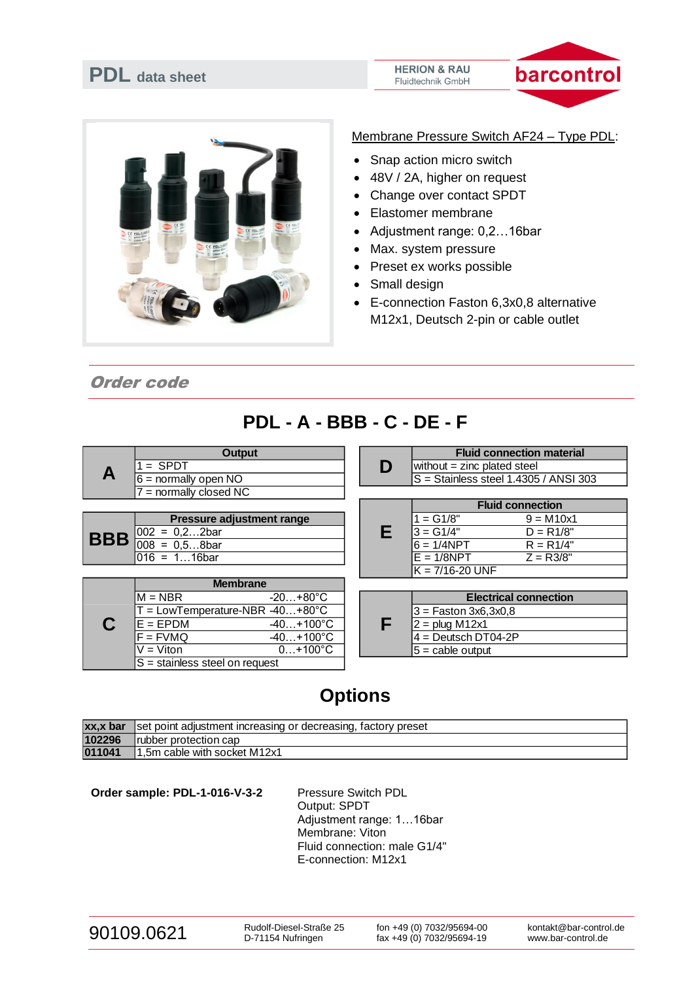



Membrane Pressure Switch AF24 – Type PDL:

- Snap action micro switch
- 48V / 2A, higher on request
- Change over contact SPDT
- Elastomer membrane
- Adjustment range: 0,2…16bar
- Max. system pressure
- Preset ex works possible
- Small design
- E-connection Faston 6,3x0,8 alternative M12x1, Deutsch 2-pin or cable outlet

Order code

## **PDL - A - BBB - C - DE - F**

|  | Output                   |  | <b>Fluid connection material</b>                 |
|--|--------------------------|--|--------------------------------------------------|
|  | $=$ SPDT                 |  | $\blacksquare$ without = zinc plated steel       |
|  | $6 =$ normally open NO   |  | $\textsf{S}$ = Stainless steel 1.4305 / ANSI 303 |
|  | $7$ = normally closed NC |  |                                                  |

| <b>Pressure adjustment range</b>        |
|-----------------------------------------|
| <b>BBB</b> $\frac{002}{008} = 0.22$ bar |
|                                         |
| $\overline{016} = 116$ bar              |

|                                   | <b>Membrane</b>     |  |  |                        |
|-----------------------------------|---------------------|--|--|------------------------|
| $M = NBR$                         | $-20+80^{\circ}$ C  |  |  | <b>Electrical c</b>    |
| $T = LowTemperature-NBR -40+80°C$ |                     |  |  | $3 =$ Faston 3x6,3x0,8 |
| $E = FPDM$                        | $-40+100^{\circ}$ C |  |  | $2 =$ plug M12x1       |
| $F = FVMQ$                        | $-40+100^{\circ}$ C |  |  | l4 = Deutsch DT04-2P   |
| V = Viton.                        | $0+100^{\circ}C$    |  |  | $5 =$ cable output     |
| $S =$ stainless steel on request  |                     |  |  |                        |

| Output | <b>Fluid connection material</b>              |
|--------|-----------------------------------------------|
|        | without $=$ zinc plated steel                 |
| ۱NC    | $\vert$ S = Stainless steel 1.4305 / ANSI 303 |

|                           | <b>Fluid connection</b> |             |  |
|---------------------------|-------------------------|-------------|--|
| Pressure adjustment range | $1 = G1/8"$             | $9 = M10x1$ |  |
| $002 = 0, 2, 2bar$        | $3 = G1/4"$             | $D = R1/8"$ |  |
| $008 = 0.58$ bar          | l6 = 1/4NPT             | $R = R1/4"$ |  |
| 016 = 116bar              | lE = 1/8NPT             | $Z = R3/8"$ |  |
|                           | $K = 7/16 - 20$ UNF     |             |  |

| <b>Electrical connection</b> |
|------------------------------|
| 3 = Faston 3x6,3x0,8         |
| $2 =$ plug M12x1             |
| $4 =$ Deutsch DT04-2P        |
| $5 =$ cable output           |

## **Options**

| xx,x bar | ▲set point adjustment increasing or decreasing, factory preset |
|----------|----------------------------------------------------------------|
| 102296   | Irubber protection cap                                         |
| 011041   | 1,5m cable with socket M12x1                                   |

Order sample: PDL-1-016-V-3-2 Pressure Switch PDL

Output: SPDT Adjustment range: 1…16bar Membrane: Viton Fluid connection: male G1/4" E-connection: M12x1

| 90109.0621 |
|------------|
|------------|